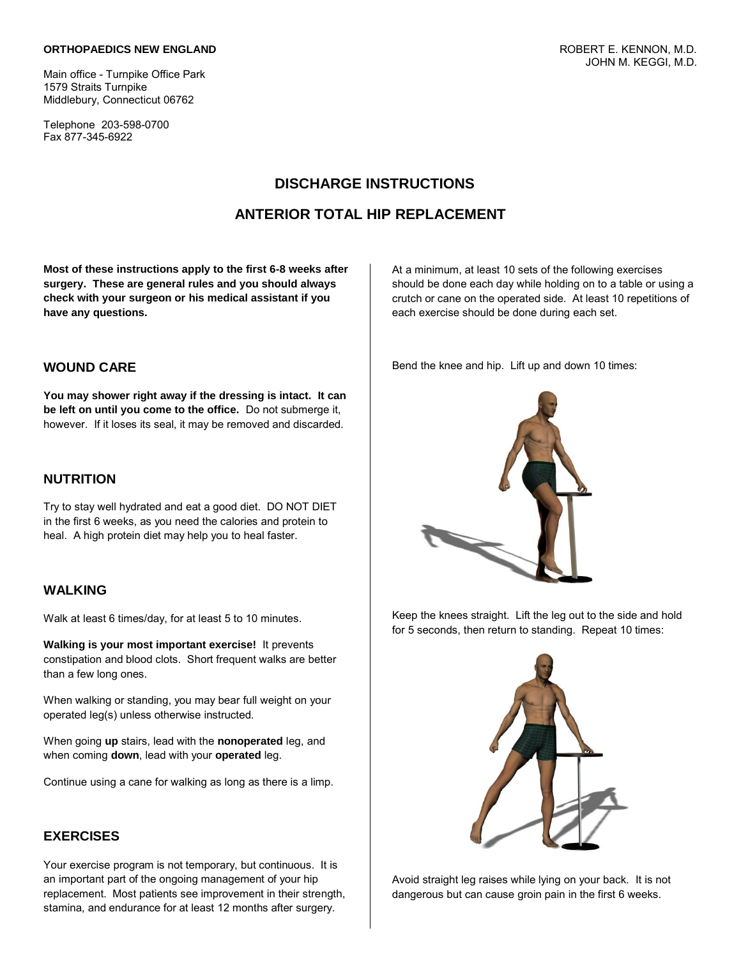#### **ORTHOPAEDICS NEW ENGLAND**

Main office - Turnpike Office Park 1579 Straits Turnpike Middlebury, Connecticut 06762

Telephone 203-598-0700 Fax 877-345-6922

## **DISCHARGE INSTRUCTIONS**

### **ANTERIOR TOTAL HIP REPLACEMENT**

**Most of these instructions apply to the first 6-8 weeks after surgery. These are general rules and you should always check with your surgeon or his medical assistant if you have any questions.**

#### **WOUND CARE**

**You may shower right away if the dressing is intact. It can be left on until you come to the office.** Do not submerge it, however. If it loses its seal, it may be removed and discarded.

### **NUTRITION**

Try to stay well hydrated and eat a good diet. DO NOT DIET in the first 6 weeks, as you need the calories and protein to heal. A high protein diet may help you to heal faster.

### **WALKING**

Walk at least 6 times/day, for at least 5 to 10 minutes.

**Walking is your most important exercise!** It prevents constipation and blood clots. Short frequent walks are better than a few long ones.

When walking or standing, you may bear full weight on your operated leg(s) unless otherwise instructed.

When going **up** stairs, lead with the **nonoperated** leg, and when coming **down**, lead with your **operated** leg.

Continue using a cane for walking as long as there is a limp.

### **EXERCISES**

Your exercise program is not temporary, but continuous. It is an important part of the ongoing management of your hip replacement. Most patients see improvement in their strength, stamina, and endurance for at least 12 months after surgery.

At a minimum, at least 10 sets of the following exercises should be done each day while holding on to a table or using a crutch or cane on the operated side. At least 10 repetitions of each exercise should be done during each set.

Bend the knee and hip. Lift up and down 10 times:



Keep the knees straight. Lift the leg out to the side and hold for 5 seconds, then return to standing. Repeat 10 times:



Avoid straight leg raises while lying on your back. It is not dangerous but can cause groin pain in the first 6 weeks.